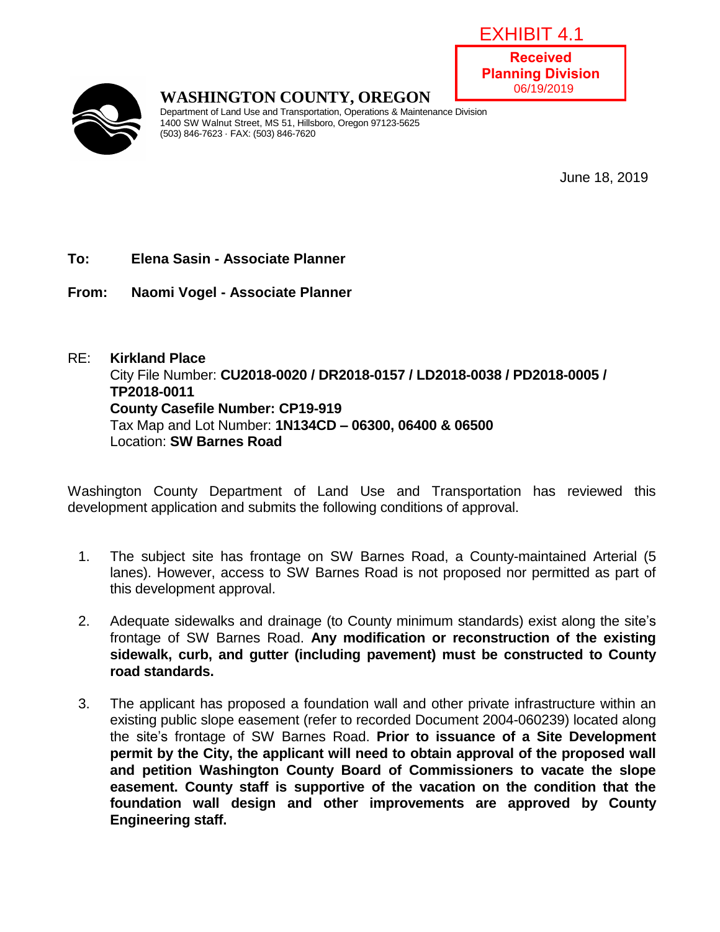| EXHIBIT 4.1                                |  |
|--------------------------------------------|--|
| <b>Received</b><br><b>Planning Divisio</b> |  |
| 06/19/2019                                 |  |

**Received Planning Division**



## **WASHINGTON COUNTY, OREGON**

Department of Land Use and Transportation, Operations & Maintenance Division 1400 SW Walnut Street, MS 51, Hillsboro, Oregon 97123-5625 (503) 846-7623 · FAX: (503) 846-7620

June 18, 2019

### **To: Elena Sasin - Associate Planner**

**From: Naomi Vogel - Associate Planner**

### RE: **Kirkland Place** City File Number: **CU2018-0020 / DR2018-0157 / LD2018-0038 / PD2018-0005 / TP2018-0011 County Casefile Number: CP19-919** Tax Map and Lot Number: **1N134CD – 06300, 06400 & 06500** Location: **SW Barnes Road**

Washington County Department of Land Use and Transportation has reviewed this development application and submits the following conditions of approval.

- 1. The subject site has frontage on SW Barnes Road, a County-maintained Arterial (5 lanes). However, access to SW Barnes Road is not proposed nor permitted as part of this development approval.
- 2. Adequate sidewalks and drainage (to County minimum standards) exist along the site's frontage of SW Barnes Road. **Any modification or reconstruction of the existing sidewalk, curb, and gutter (including pavement) must be constructed to County road standards.**
- 3. The applicant has proposed a foundation wall and other private infrastructure within an existing public slope easement (refer to recorded Document 2004-060239) located along the site's frontage of SW Barnes Road. **Prior to issuance of a Site Development permit by the City, the applicant will need to obtain approval of the proposed wall and petition Washington County Board of Commissioners to vacate the slope easement. County staff is supportive of the vacation on the condition that the foundation wall design and other improvements are approved by County Engineering staff.**